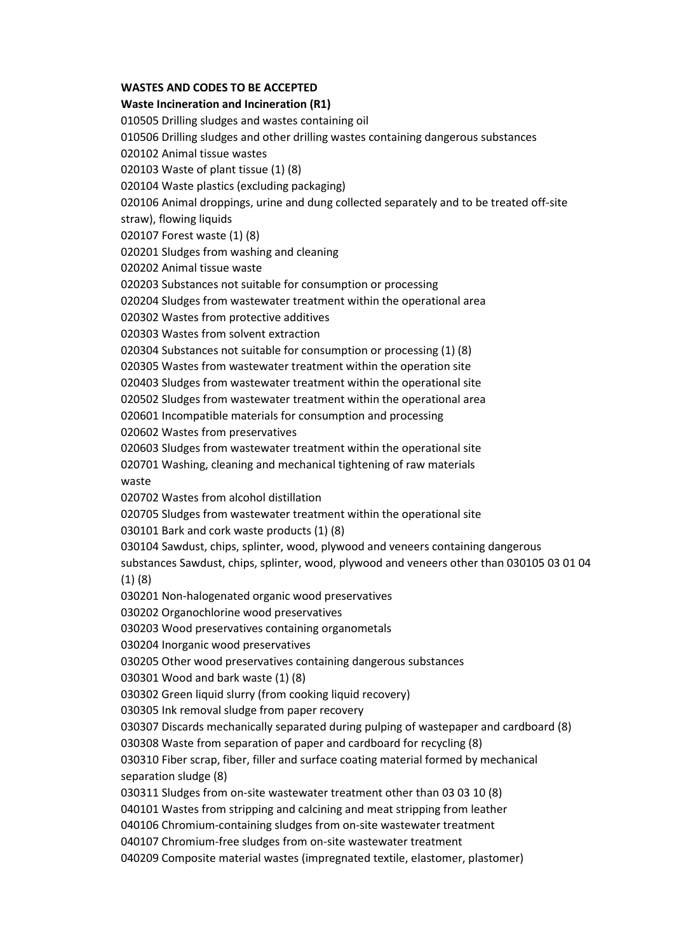## **WASTES AND CODES TO BE ACCEPTED**

## **Waste Incineration and Incineration (R1)**

010505 Drilling sludges and wastes containing oil 010506 Drilling sludges and other drilling wastes containing dangerous substances 020102 Animal tissue wastes 020103 Waste of plant tissue (1) (8) 020104 Waste plastics (excluding packaging) 020106 Animal droppings, urine and dung collected separately and to be treated off-site straw), flowing liquids 020107 Forest waste (1) (8) 020201 Sludges from washing and cleaning 020202 Animal tissue waste 020203 Substances not suitable for consumption or processing 020204 Sludges from wastewater treatment within the operational area 020302 Wastes from protective additives 020303 Wastes from solvent extraction 020304 Substances not suitable for consumption or processing (1) (8) 020305 Wastes from wastewater treatment within the operation site 020403 Sludges from wastewater treatment within the operational site 020502 Sludges from wastewater treatment within the operational area 020601 Incompatible materials for consumption and processing 020602 Wastes from preservatives 020603 Sludges from wastewater treatment within the operational site 020701 Washing, cleaning and mechanical tightening of raw materials waste 020702 Wastes from alcohol distillation 020705 Sludges from wastewater treatment within the operational site 030101 Bark and cork waste products (1) (8) 030104 Sawdust, chips, splinter, wood, plywood and veneers containing dangerous substances Sawdust, chips, splinter, wood, plywood and veneers other than 030105 03 01 04 (1) (8) 030201 Non-halogenated organic wood preservatives 030202 Organochlorine wood preservatives 030203 Wood preservatives containing organometals 030204 Inorganic wood preservatives 030205 Other wood preservatives containing dangerous substances 030301 Wood and bark waste (1) (8) 030302 Green liquid slurry (from cooking liquid recovery) 030305 Ink removal sludge from paper recovery 030307 Discards mechanically separated during pulping of wastepaper and cardboard (8) 030308 Waste from separation of paper and cardboard for recycling (8) 030310 Fiber scrap, fiber, filler and surface coating material formed by mechanical separation sludge (8) 030311 Sludges from on-site wastewater treatment other than 03 03 10 (8) 040101 Wastes from stripping and calcining and meat stripping from leather 040106 Chromium-containing sludges from on-site wastewater treatment 040107 Chromium-free sludges from on-site wastewater treatment 040209 Composite material wastes (impregnated textile, elastomer, plastomer)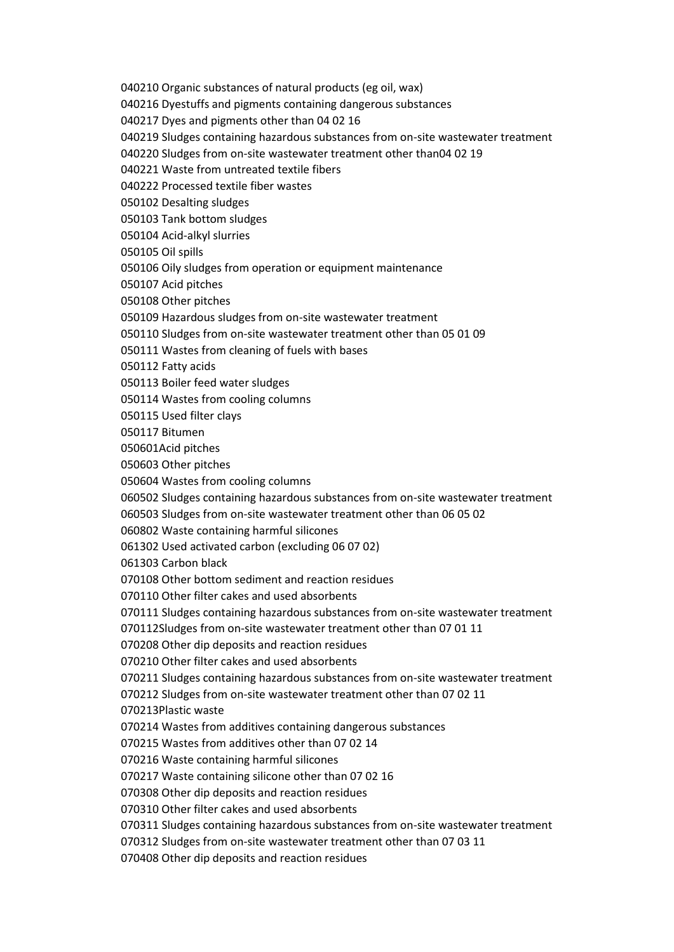040210 Organic substances of natural products (eg oil, wax)

040216 Dyestuffs and pigments containing dangerous substances

040217 Dyes and pigments other than 04 02 16

040219 Sludges containing hazardous substances from on-site wastewater treatment

040220 Sludges from on-site wastewater treatment other than04 02 19

040221 Waste from untreated textile fibers

040222 Processed textile fiber wastes

050102 Desalting sludges

050103 Tank bottom sludges

050104 Acid-alkyl slurries

050105 Oil spills

050106 Oily sludges from operation or equipment maintenance

050107 Acid pitches

050108 Other pitches

050109 Hazardous sludges from on-site wastewater treatment

050110 Sludges from on-site wastewater treatment other than 05 01 09

050111 Wastes from cleaning of fuels with bases

050112 Fatty acids

050113 Boiler feed water sludges

050114 Wastes from cooling columns

050115 Used filter clays

050117 Bitumen

050601Acid pitches

050603 Other pitches

050604 Wastes from cooling columns

060502 Sludges containing hazardous substances from on-site wastewater treatment

060503 Sludges from on-site wastewater treatment other than 06 05 02

060802 Waste containing harmful silicones

061302 Used activated carbon (excluding 06 07 02)

061303 Carbon black

070108 Other bottom sediment and reaction residues

070110 Other filter cakes and used absorbents

070111 Sludges containing hazardous substances from on-site wastewater treatment

070112Sludges from on-site wastewater treatment other than 07 01 11

070208 Other dip deposits and reaction residues

070210 Other filter cakes and used absorbents

070211 Sludges containing hazardous substances from on-site wastewater treatment

070212 Sludges from on-site wastewater treatment other than 07 02 11

070213Plastic waste

070214 Wastes from additives containing dangerous substances

070215 Wastes from additives other than 07 02 14

070216 Waste containing harmful silicones

070217 Waste containing silicone other than 07 02 16

070308 Other dip deposits and reaction residues

070310 Other filter cakes and used absorbents

070311 Sludges containing hazardous substances from on-site wastewater treatment

070312 Sludges from on-site wastewater treatment other than 07 03 11

070408 Other dip deposits and reaction residues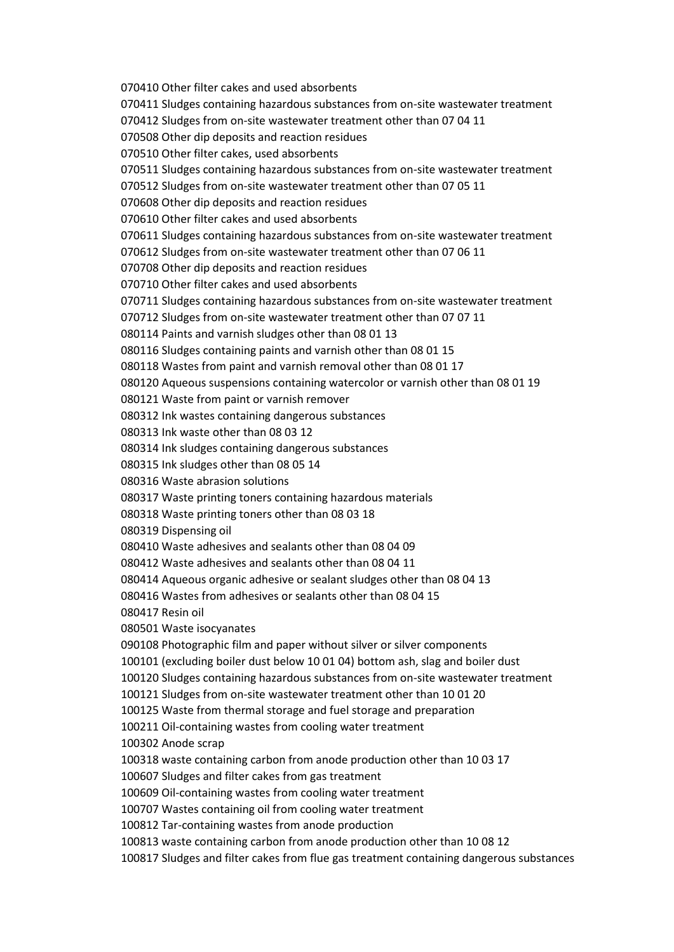070410 Other filter cakes and used absorbents 070411 Sludges containing hazardous substances from on-site wastewater treatment 070412 Sludges from on-site wastewater treatment other than 07 04 11 070508 Other dip deposits and reaction residues 070510 Other filter cakes, used absorbents 070511 Sludges containing hazardous substances from on-site wastewater treatment 070512 Sludges from on-site wastewater treatment other than 07 05 11 070608 Other dip deposits and reaction residues 070610 Other filter cakes and used absorbents 070611 Sludges containing hazardous substances from on-site wastewater treatment 070612 Sludges from on-site wastewater treatment other than 07 06 11 070708 Other dip deposits and reaction residues 070710 Other filter cakes and used absorbents 070711 Sludges containing hazardous substances from on-site wastewater treatment 070712 Sludges from on-site wastewater treatment other than 07 07 11 080114 Paints and varnish sludges other than 08 01 13 080116 Sludges containing paints and varnish other than 08 01 15 080118 Wastes from paint and varnish removal other than 08 01 17 080120 Aqueous suspensions containing watercolor or varnish other than 08 01 19 080121 Waste from paint or varnish remover 080312 Ink wastes containing dangerous substances 080313 Ink waste other than 08 03 12 080314 Ink sludges containing dangerous substances 080315 Ink sludges other than 08 05 14 080316 Waste abrasion solutions 080317 Waste printing toners containing hazardous materials 080318 Waste printing toners other than 08 03 18 080319 Dispensing oil 080410 Waste adhesives and sealants other than 08 04 09 080412 Waste adhesives and sealants other than 08 04 11 080414 Aqueous organic adhesive or sealant sludges other than 08 04 13 080416 Wastes from adhesives or sealants other than 08 04 15 080417 Resin oil 080501 Waste isocyanates 090108 Photographic film and paper without silver or silver components 100101 (excluding boiler dust below 10 01 04) bottom ash, slag and boiler dust 100120 Sludges containing hazardous substances from on-site wastewater treatment 100121 Sludges from on-site wastewater treatment other than 10 01 20 100125 Waste from thermal storage and fuel storage and preparation 100211 Oil-containing wastes from cooling water treatment 100302 Anode scrap 100318 waste containing carbon from anode production other than 10 03 17 100607 Sludges and filter cakes from gas treatment 100609 Oil-containing wastes from cooling water treatment 100707 Wastes containing oil from cooling water treatment 100812 Tar-containing wastes from anode production 100813 waste containing carbon from anode production other than 10 08 12 100817 Sludges and filter cakes from flue gas treatment containing dangerous substances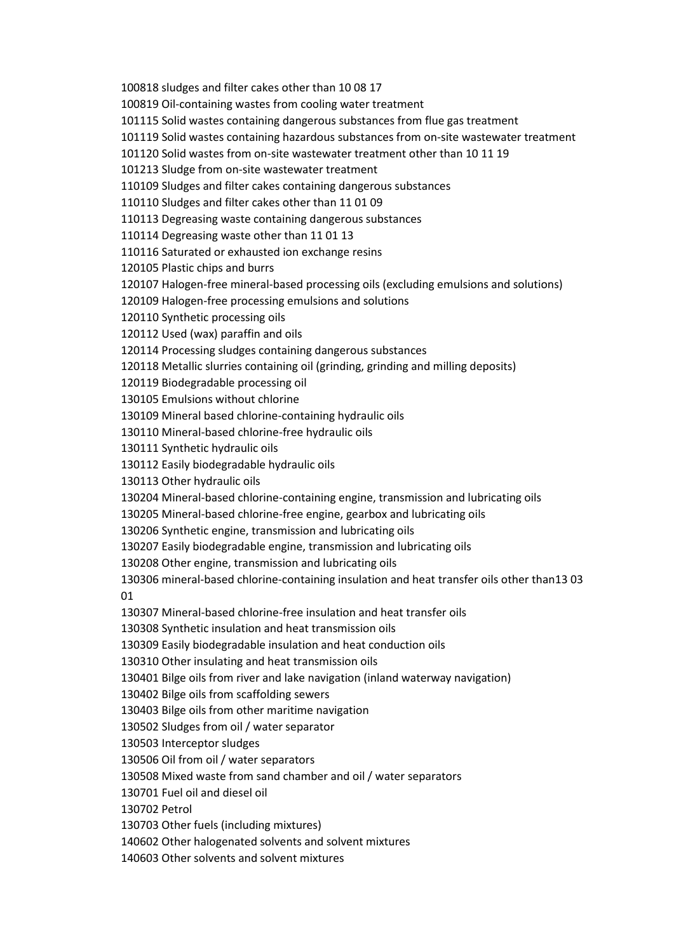100818 sludges and filter cakes other than 10 08 17 100819 Oil-containing wastes from cooling water treatment 101115 Solid wastes containing dangerous substances from flue gas treatment 101119 Solid wastes containing hazardous substances from on-site wastewater treatment 101120 Solid wastes from on-site wastewater treatment other than 10 11 19 101213 Sludge from on-site wastewater treatment 110109 Sludges and filter cakes containing dangerous substances 110110 Sludges and filter cakes other than 11 01 09 110113 Degreasing waste containing dangerous substances 110114 Degreasing waste other than 11 01 13 110116 Saturated or exhausted ion exchange resins 120105 Plastic chips and burrs 120107 Halogen-free mineral-based processing oils (excluding emulsions and solutions) 120109 Halogen-free processing emulsions and solutions 120110 Synthetic processing oils 120112 Used (wax) paraffin and oils 120114 Processing sludges containing dangerous substances 120118 Metallic slurries containing oil (grinding, grinding and milling deposits) 120119 Biodegradable processing oil 130105 Emulsions without chlorine 130109 Mineral based chlorine-containing hydraulic oils 130110 Mineral-based chlorine-free hydraulic oils 130111 Synthetic hydraulic oils 130112 Easily biodegradable hydraulic oils 130113 Other hydraulic oils 130204 Mineral-based chlorine-containing engine, transmission and lubricating oils 130205 Mineral-based chlorine-free engine, gearbox and lubricating oils 130206 Synthetic engine, transmission and lubricating oils 130207 Easily biodegradable engine, transmission and lubricating oils 130208 Other engine, transmission and lubricating oils 130306 mineral-based chlorine-containing insulation and heat transfer oils other than13 03 01 130307 Mineral-based chlorine-free insulation and heat transfer oils 130308 Synthetic insulation and heat transmission oils 130309 Easily biodegradable insulation and heat conduction oils 130310 Other insulating and heat transmission oils 130401 Bilge oils from river and lake navigation (inland waterway navigation) 130402 Bilge oils from scaffolding sewers 130403 Bilge oils from other maritime navigation 130502 Sludges from oil / water separator 130503 Interceptor sludges 130506 Oil from oil / water separators 130508 Mixed waste from sand chamber and oil / water separators 130701 Fuel oil and diesel oil 130702 Petrol 130703 Other fuels (including mixtures) 140602 Other halogenated solvents and solvent mixtures 140603 Other solvents and solvent mixtures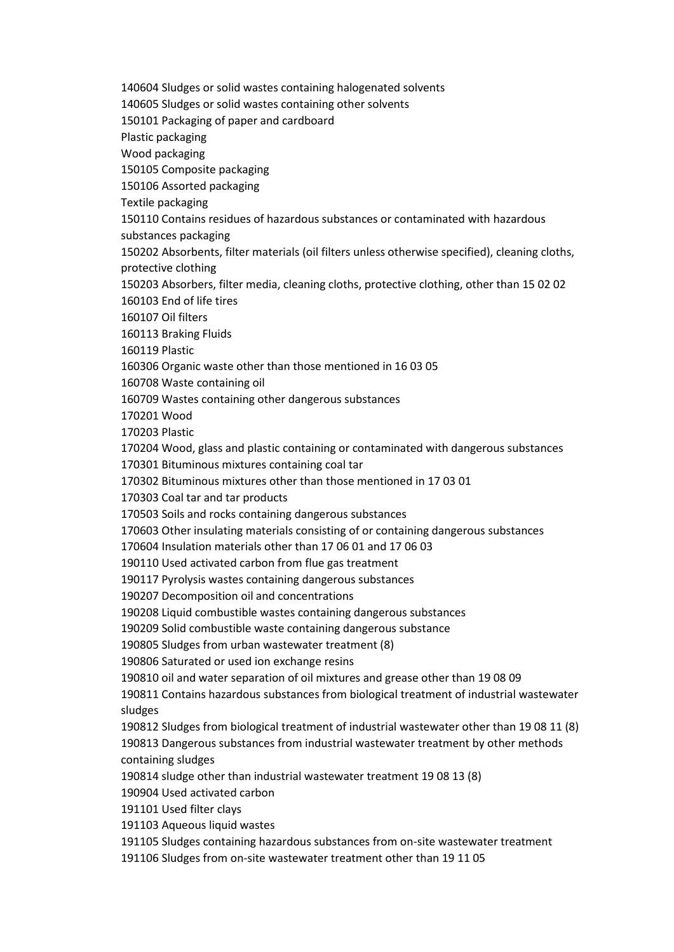140604 Sludges or solid wastes containing halogenated solvents

140605 Sludges or solid wastes containing other solvents

150101 Packaging of paper and cardboard

Plastic packaging

Wood packaging

150105 Composite packaging

150106 Assorted packaging

Textile packaging

150110 Contains residues of hazardous substances or contaminated with hazardous

substances packaging

150202 Absorbents, filter materials (oil filters unless otherwise specified), cleaning cloths, protective clothing

150203 Absorbers, filter media, cleaning cloths, protective clothing, other than 15 02 02 160103 End of life tires

160107 Oil filters

160113 Braking Fluids

160119 Plastic

160306 Organic waste other than those mentioned in 16 03 05

160708 Waste containing oil

160709 Wastes containing other dangerous substances

170201 Wood

170203 Plastic

170204 Wood, glass and plastic containing or contaminated with dangerous substances

170301 Bituminous mixtures containing coal tar

170302 Bituminous mixtures other than those mentioned in 17 03 01

170303 Coal tar and tar products

170503 Soils and rocks containing dangerous substances

170603 Other insulating materials consisting of or containing dangerous substances

170604 Insulation materials other than 17 06 01 and 17 06 03

190110 Used activated carbon from flue gas treatment

190117 Pyrolysis wastes containing dangerous substances

190207 Decomposition oil and concentrations

190208 Liquid combustible wastes containing dangerous substances

190209 Solid combustible waste containing dangerous substance

190805 Sludges from urban wastewater treatment (8)

190806 Saturated or used ion exchange resins

190810 oil and water separation of oil mixtures and grease other than 19 08 09

190811 Contains hazardous substances from biological treatment of industrial wastewater sludges

190812 Sludges from biological treatment of industrial wastewater other than 19 08 11 (8) 190813 Dangerous substances from industrial wastewater treatment by other methods containing sludges

190814 sludge other than industrial wastewater treatment 19 08 13 (8)

190904 Used activated carbon

191101 Used filter clays

191103 Aqueous liquid wastes

191105 Sludges containing hazardous substances from on-site wastewater treatment

191106 Sludges from on-site wastewater treatment other than 19 11 05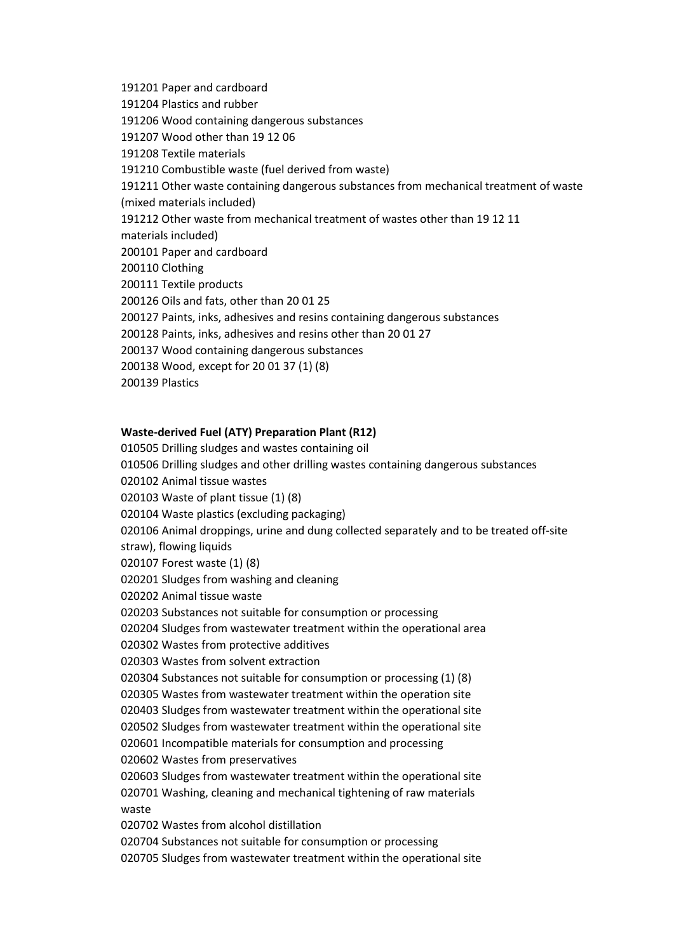191201 Paper and cardboard 191204 Plastics and rubber 191206 Wood containing dangerous substances 191207 Wood other than 19 12 06 191208 Textile materials 191210 Combustible waste (fuel derived from waste) 191211 Other waste containing dangerous substances from mechanical treatment of waste (mixed materials included) 191212 Other waste from mechanical treatment of wastes other than 19 12 11 materials included) 200101 Paper and cardboard 200110 Clothing 200111 Textile products 200126 Oils and fats, other than 20 01 25 200127 Paints, inks, adhesives and resins containing dangerous substances 200128 Paints, inks, adhesives and resins other than 20 01 27 200137 Wood containing dangerous substances 200138 Wood, except for 20 01 37 (1) (8) 200139 Plastics

## **Waste-derived Fuel (ATY) Preparation Plant (R12)**

010505 Drilling sludges and wastes containing oil 010506 Drilling sludges and other drilling wastes containing dangerous substances 020102 Animal tissue wastes 020103 Waste of plant tissue (1) (8) 020104 Waste plastics (excluding packaging) 020106 Animal droppings, urine and dung collected separately and to be treated off-site straw), flowing liquids 020107 Forest waste (1) (8) 020201 Sludges from washing and cleaning 020202 Animal tissue waste 020203 Substances not suitable for consumption or processing 020204 Sludges from wastewater treatment within the operational area 020302 Wastes from protective additives 020303 Wastes from solvent extraction 020304 Substances not suitable for consumption or processing (1) (8) 020305 Wastes from wastewater treatment within the operation site 020403 Sludges from wastewater treatment within the operational site 020502 Sludges from wastewater treatment within the operational site 020601 Incompatible materials for consumption and processing 020602 Wastes from preservatives 020603 Sludges from wastewater treatment within the operational site 020701 Washing, cleaning and mechanical tightening of raw materials waste 020702 Wastes from alcohol distillation 020704 Substances not suitable for consumption or processing 020705 Sludges from wastewater treatment within the operational site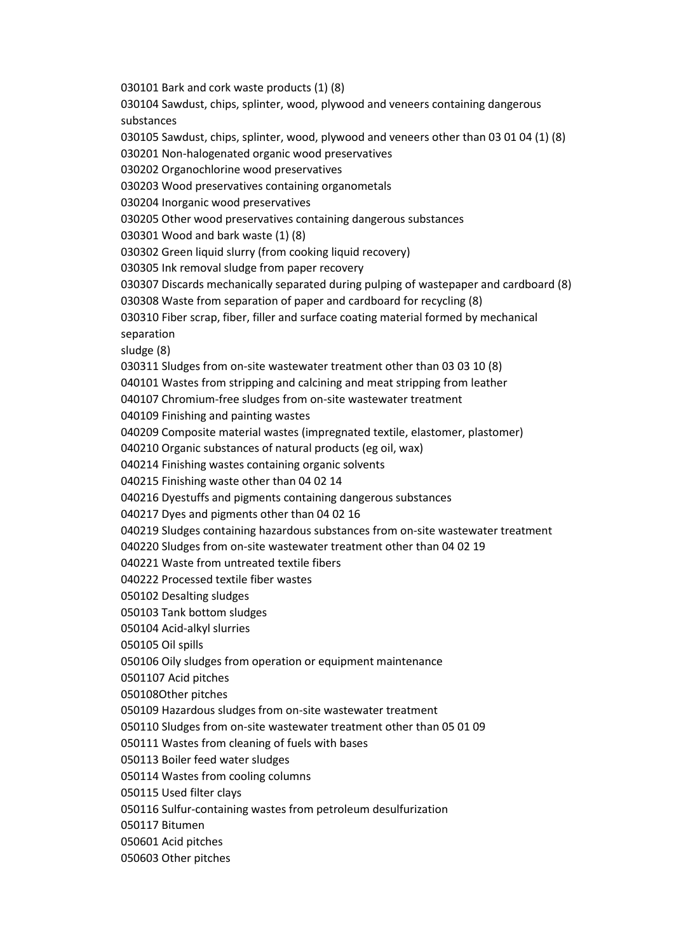030101 Bark and cork waste products (1) (8) 030104 Sawdust, chips, splinter, wood, plywood and veneers containing dangerous substances 030105 Sawdust, chips, splinter, wood, plywood and veneers other than 03 01 04 (1) (8) 030201 Non-halogenated organic wood preservatives 030202 Organochlorine wood preservatives 030203 Wood preservatives containing organometals 030204 Inorganic wood preservatives 030205 Other wood preservatives containing dangerous substances 030301 Wood and bark waste (1) (8) 030302 Green liquid slurry (from cooking liquid recovery) 030305 Ink removal sludge from paper recovery 030307 Discards mechanically separated during pulping of wastepaper and cardboard (8) 030308 Waste from separation of paper and cardboard for recycling (8) 030310 Fiber scrap, fiber, filler and surface coating material formed by mechanical separation sludge (8) 030311 Sludges from on-site wastewater treatment other than 03 03 10 (8) 040101 Wastes from stripping and calcining and meat stripping from leather 040107 Chromium-free sludges from on-site wastewater treatment 040109 Finishing and painting wastes 040209 Composite material wastes (impregnated textile, elastomer, plastomer) 040210 Organic substances of natural products (eg oil, wax) 040214 Finishing wastes containing organic solvents 040215 Finishing waste other than 04 02 14 040216 Dyestuffs and pigments containing dangerous substances 040217 Dyes and pigments other than 04 02 16 040219 Sludges containing hazardous substances from on-site wastewater treatment 040220 Sludges from on-site wastewater treatment other than 04 02 19 040221 Waste from untreated textile fibers 040222 Processed textile fiber wastes 050102 Desalting sludges 050103 Tank bottom sludges 050104 Acid-alkyl slurries 050105 Oil spills 050106 Oily sludges from operation or equipment maintenance 0501107 Acid pitches 050108Other pitches 050109 Hazardous sludges from on-site wastewater treatment 050110 Sludges from on-site wastewater treatment other than 05 01 09 050111 Wastes from cleaning of fuels with bases 050113 Boiler feed water sludges 050114 Wastes from cooling columns 050115 Used filter clays 050116 Sulfur-containing wastes from petroleum desulfurization 050117 Bitumen 050601 Acid pitches 050603 Other pitches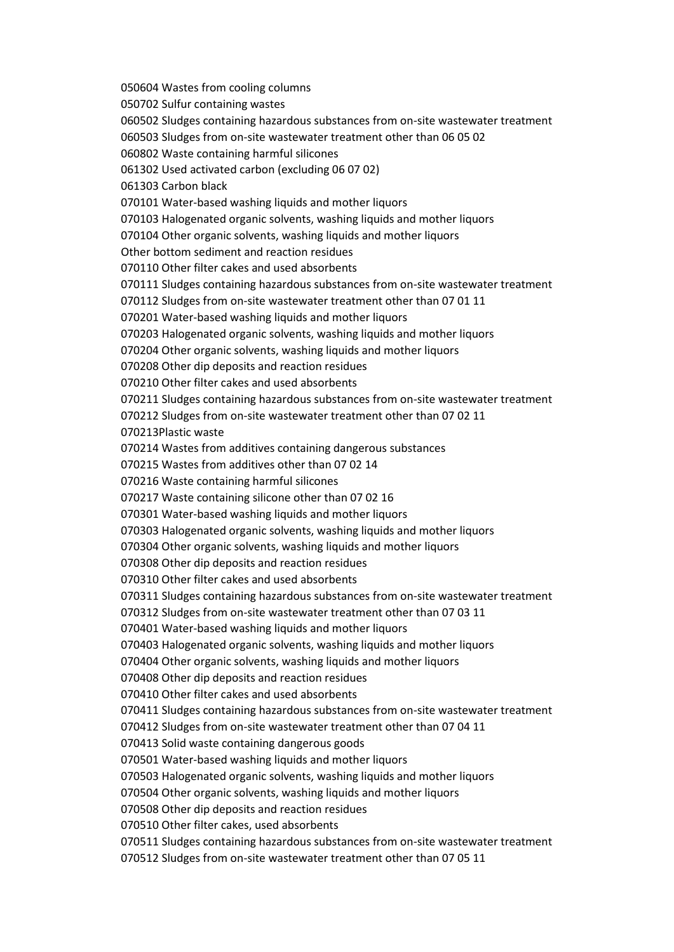050604 Wastes from cooling columns 050702 Sulfur containing wastes 060502 Sludges containing hazardous substances from on-site wastewater treatment 060503 Sludges from on-site wastewater treatment other than 06 05 02 060802 Waste containing harmful silicones 061302 Used activated carbon (excluding 06 07 02) 061303 Carbon black 070101 Water-based washing liquids and mother liquors 070103 Halogenated organic solvents, washing liquids and mother liquors 070104 Other organic solvents, washing liquids and mother liquors Other bottom sediment and reaction residues 070110 Other filter cakes and used absorbents 070111 Sludges containing hazardous substances from on-site wastewater treatment 070112 Sludges from on-site wastewater treatment other than 07 01 11 070201 Water-based washing liquids and mother liquors 070203 Halogenated organic solvents, washing liquids and mother liquors 070204 Other organic solvents, washing liquids and mother liquors 070208 Other dip deposits and reaction residues 070210 Other filter cakes and used absorbents 070211 Sludges containing hazardous substances from on-site wastewater treatment 070212 Sludges from on-site wastewater treatment other than 07 02 11 070213Plastic waste 070214 Wastes from additives containing dangerous substances 070215 Wastes from additives other than 07 02 14 070216 Waste containing harmful silicones 070217 Waste containing silicone other than 07 02 16 070301 Water-based washing liquids and mother liquors 070303 Halogenated organic solvents, washing liquids and mother liquors 070304 Other organic solvents, washing liquids and mother liquors 070308 Other dip deposits and reaction residues 070310 Other filter cakes and used absorbents 070311 Sludges containing hazardous substances from on-site wastewater treatment 070312 Sludges from on-site wastewater treatment other than 07 03 11 070401 Water-based washing liquids and mother liquors 070403 Halogenated organic solvents, washing liquids and mother liquors 070404 Other organic solvents, washing liquids and mother liquors 070408 Other dip deposits and reaction residues 070410 Other filter cakes and used absorbents 070411 Sludges containing hazardous substances from on-site wastewater treatment 070412 Sludges from on-site wastewater treatment other than 07 04 11 070413 Solid waste containing dangerous goods 070501 Water-based washing liquids and mother liquors 070503 Halogenated organic solvents, washing liquids and mother liquors 070504 Other organic solvents, washing liquids and mother liquors 070508 Other dip deposits and reaction residues 070510 Other filter cakes, used absorbents 070511 Sludges containing hazardous substances from on-site wastewater treatment 070512 Sludges from on-site wastewater treatment other than 07 05 11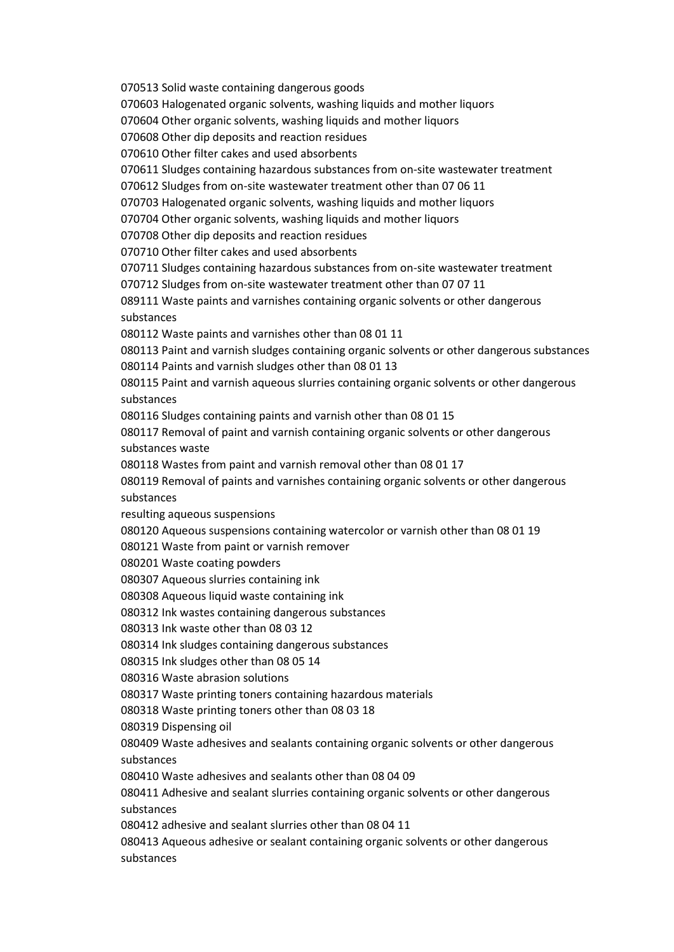070513 Solid waste containing dangerous goods 070603 Halogenated organic solvents, washing liquids and mother liquors 070604 Other organic solvents, washing liquids and mother liquors 070608 Other dip deposits and reaction residues 070610 Other filter cakes and used absorbents 070611 Sludges containing hazardous substances from on-site wastewater treatment 070612 Sludges from on-site wastewater treatment other than 07 06 11 070703 Halogenated organic solvents, washing liquids and mother liquors 070704 Other organic solvents, washing liquids and mother liquors 070708 Other dip deposits and reaction residues 070710 Other filter cakes and used absorbents 070711 Sludges containing hazardous substances from on-site wastewater treatment 070712 Sludges from on-site wastewater treatment other than 07 07 11 089111 Waste paints and varnishes containing organic solvents or other dangerous substances 080112 Waste paints and varnishes other than 08 01 11 080113 Paint and varnish sludges containing organic solvents or other dangerous substances 080114 Paints and varnish sludges other than 08 01 13 080115 Paint and varnish aqueous slurries containing organic solvents or other dangerous substances 080116 Sludges containing paints and varnish other than 08 01 15 080117 Removal of paint and varnish containing organic solvents or other dangerous substances waste 080118 Wastes from paint and varnish removal other than 08 01 17 080119 Removal of paints and varnishes containing organic solvents or other dangerous substances resulting aqueous suspensions 080120 Aqueous suspensions containing watercolor or varnish other than 08 01 19 080121 Waste from paint or varnish remover 080201 Waste coating powders 080307 Aqueous slurries containing ink 080308 Aqueous liquid waste containing ink 080312 Ink wastes containing dangerous substances 080313 Ink waste other than 08 03 12 080314 Ink sludges containing dangerous substances 080315 Ink sludges other than 08 05 14 080316 Waste abrasion solutions 080317 Waste printing toners containing hazardous materials 080318 Waste printing toners other than 08 03 18 080319 Dispensing oil 080409 Waste adhesives and sealants containing organic solvents or other dangerous substances 080410 Waste adhesives and sealants other than 08 04 09 080411 Adhesive and sealant slurries containing organic solvents or other dangerous substances 080412 adhesive and sealant slurries other than 08 04 11 080413 Aqueous adhesive or sealant containing organic solvents or other dangerous

substances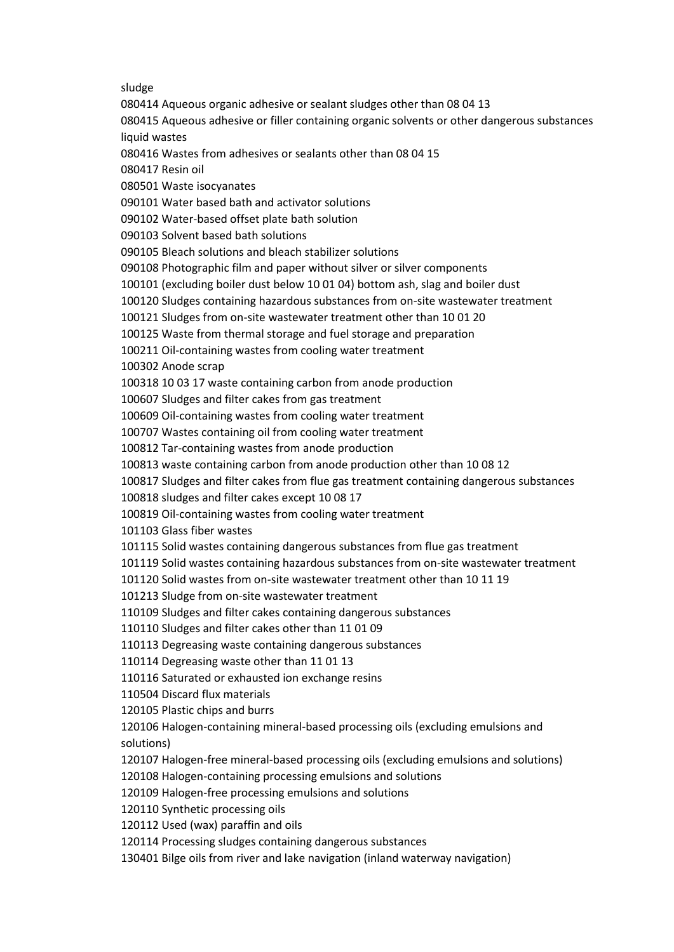sludge

080414 Aqueous organic adhesive or sealant sludges other than 08 04 13 080415 Aqueous adhesive or filler containing organic solvents or other dangerous substances liquid wastes 080416 Wastes from adhesives or sealants other than 08 04 15 080417 Resin oil 080501 Waste isocyanates 090101 Water based bath and activator solutions 090102 Water-based offset plate bath solution 090103 Solvent based bath solutions 090105 Bleach solutions and bleach stabilizer solutions 090108 Photographic film and paper without silver or silver components 100101 (excluding boiler dust below 10 01 04) bottom ash, slag and boiler dust 100120 Sludges containing hazardous substances from on-site wastewater treatment 100121 Sludges from on-site wastewater treatment other than 10 01 20 100125 Waste from thermal storage and fuel storage and preparation 100211 Oil-containing wastes from cooling water treatment 100302 Anode scrap 100318 10 03 17 waste containing carbon from anode production 100607 Sludges and filter cakes from gas treatment 100609 Oil-containing wastes from cooling water treatment 100707 Wastes containing oil from cooling water treatment 100812 Tar-containing wastes from anode production 100813 waste containing carbon from anode production other than 10 08 12 100817 Sludges and filter cakes from flue gas treatment containing dangerous substances 100818 sludges and filter cakes except 10 08 17 100819 Oil-containing wastes from cooling water treatment 101103 Glass fiber wastes 101115 Solid wastes containing dangerous substances from flue gas treatment 101119 Solid wastes containing hazardous substances from on-site wastewater treatment 101120 Solid wastes from on-site wastewater treatment other than 10 11 19 101213 Sludge from on-site wastewater treatment 110109 Sludges and filter cakes containing dangerous substances 110110 Sludges and filter cakes other than 11 01 09 110113 Degreasing waste containing dangerous substances 110114 Degreasing waste other than 11 01 13 110116 Saturated or exhausted ion exchange resins 110504 Discard flux materials 120105 Plastic chips and burrs 120106 Halogen-containing mineral-based processing oils (excluding emulsions and solutions) 120107 Halogen-free mineral-based processing oils (excluding emulsions and solutions) 120108 Halogen-containing processing emulsions and solutions 120109 Halogen-free processing emulsions and solutions 120110 Synthetic processing oils 120112 Used (wax) paraffin and oils 120114 Processing sludges containing dangerous substances

130401 Bilge oils from river and lake navigation (inland waterway navigation)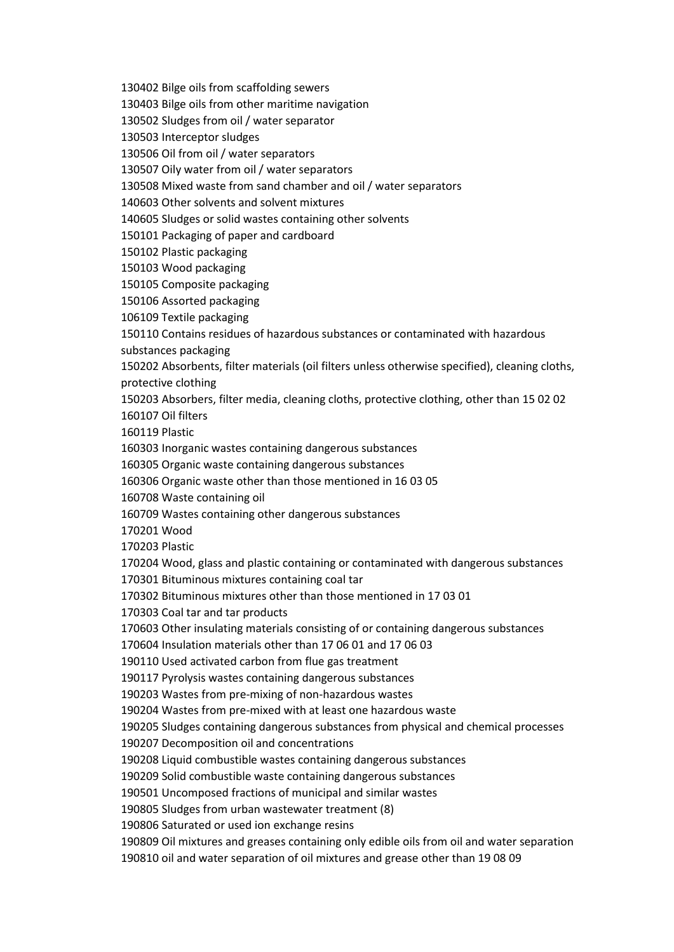130402 Bilge oils from scaffolding sewers

130403 Bilge oils from other maritime navigation

130502 Sludges from oil / water separator

130503 Interceptor sludges

130506 Oil from oil / water separators

130507 Oily water from oil / water separators

130508 Mixed waste from sand chamber and oil / water separators

140603 Other solvents and solvent mixtures

140605 Sludges or solid wastes containing other solvents

150101 Packaging of paper and cardboard

150102 Plastic packaging

150103 Wood packaging

150105 Composite packaging

150106 Assorted packaging

106109 Textile packaging

150110 Contains residues of hazardous substances or contaminated with hazardous

substances packaging

150202 Absorbents, filter materials (oil filters unless otherwise specified), cleaning cloths, protective clothing

150203 Absorbers, filter media, cleaning cloths, protective clothing, other than 15 02 02 160107 Oil filters

160119 Plastic

160303 Inorganic wastes containing dangerous substances

160305 Organic waste containing dangerous substances

160306 Organic waste other than those mentioned in 16 03 05

160708 Waste containing oil

160709 Wastes containing other dangerous substances

170201 Wood

170203 Plastic

170204 Wood, glass and plastic containing or contaminated with dangerous substances

170301 Bituminous mixtures containing coal tar

170302 Bituminous mixtures other than those mentioned in 17 03 01

170303 Coal tar and tar products

170603 Other insulating materials consisting of or containing dangerous substances

170604 Insulation materials other than 17 06 01 and 17 06 03

190110 Used activated carbon from flue gas treatment

190117 Pyrolysis wastes containing dangerous substances

190203 Wastes from pre-mixing of non-hazardous wastes

190204 Wastes from pre-mixed with at least one hazardous waste

190205 Sludges containing dangerous substances from physical and chemical processes

190207 Decomposition oil and concentrations

190208 Liquid combustible wastes containing dangerous substances

190209 Solid combustible waste containing dangerous substances

190501 Uncomposed fractions of municipal and similar wastes

190805 Sludges from urban wastewater treatment (8)

190806 Saturated or used ion exchange resins

190809 Oil mixtures and greases containing only edible oils from oil and water separation 190810 oil and water separation of oil mixtures and grease other than 19 08 09